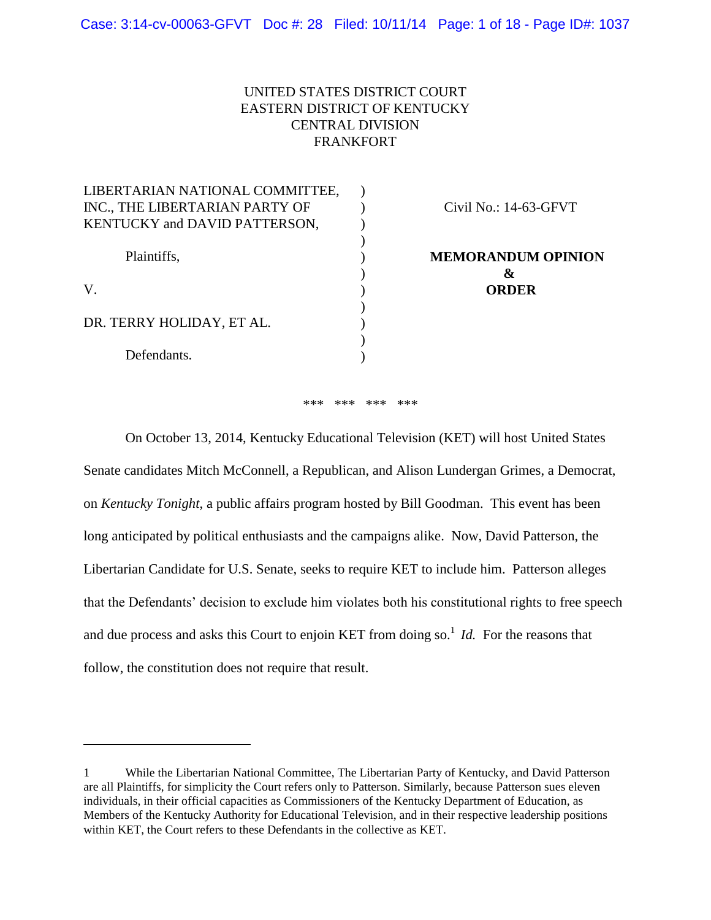# UNITED STATES DISTRICT COURT EASTERN DISTRICT OF KENTUCKY CENTRAL DIVISION FRANKFORT

| LIBERTARIAN NATIONAL COMMITTEE, |                           |
|---------------------------------|---------------------------|
| INC., THE LIBERTARIAN PARTY OF  | Civil No.: 14-63-GFVT     |
| KENTUCKY and DAVID PATTERSON,   |                           |
|                                 |                           |
| Plaintiffs,                     | <b>MEMORANDUM OPINION</b> |
|                                 | &                         |
| V.                              | <b>ORDER</b>              |
|                                 |                           |
| DR. TERRY HOLIDAY, ET AL.       |                           |
|                                 |                           |
| Defendants.                     |                           |
|                                 |                           |

\*\*\* \*\*\* \*\*\* \*\*\*

On October 13, 2014, Kentucky Educational Television (KET) will host United States Senate candidates Mitch McConnell, a Republican, and Alison Lundergan Grimes, a Democrat, on *Kentucky Tonight*, a public affairs program hosted by Bill Goodman. This event has been long anticipated by political enthusiasts and the campaigns alike. Now, David Patterson, the Libertarian Candidate for U.S. Senate, seeks to require KET to include him. Patterson alleges that the Defendants' decision to exclude him violates both his constitutional rights to free speech and due process and asks this Court to enjoin KET from doing so. 1 *Id.* For the reasons that follow, the constitution does not require that result.

<sup>1</sup> While the Libertarian National Committee, The Libertarian Party of Kentucky, and David Patterson are all Plaintiffs, for simplicity the Court refers only to Patterson. Similarly, because Patterson sues eleven individuals, in their official capacities as Commissioners of the Kentucky Department of Education, as Members of the Kentucky Authority for Educational Television, and in their respective leadership positions within KET, the Court refers to these Defendants in the collective as KET.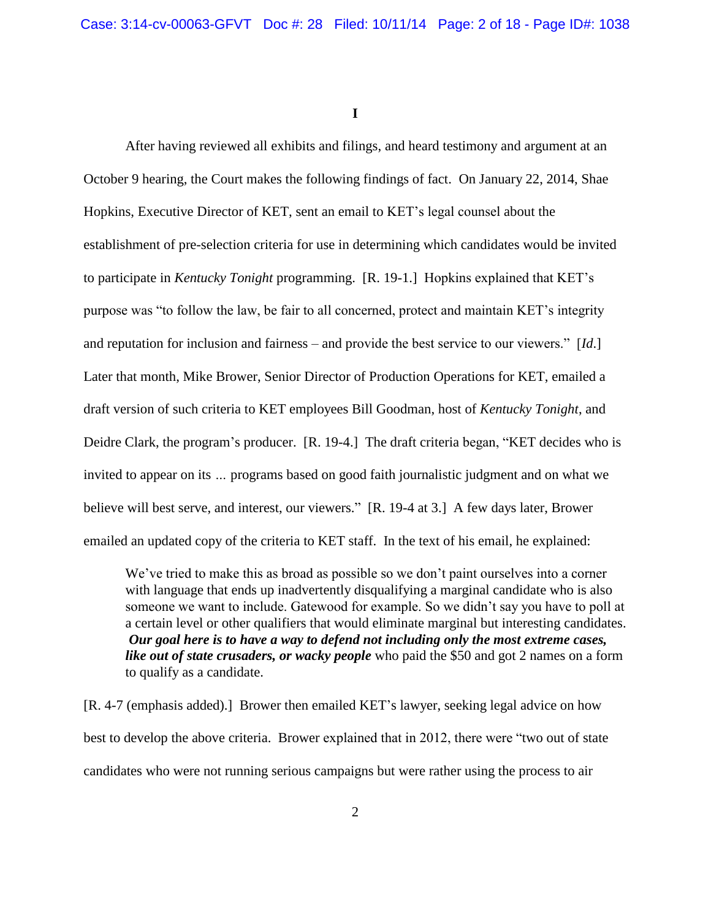**I**

After having reviewed all exhibits and filings, and heard testimony and argument at an October 9 hearing, the Court makes the following findings of fact. On January 22, 2014, Shae Hopkins, Executive Director of KET, sent an email to KET's legal counsel about the establishment of pre-selection criteria for use in determining which candidates would be invited to participate in *Kentucky Tonight* programming. [R. 19-1.] Hopkins explained that KET's purpose was "to follow the law, be fair to all concerned, protect and maintain KET's integrity and reputation for inclusion and fairness – and provide the best service to our viewers." [*Id*.] Later that month, Mike Brower, Senior Director of Production Operations for KET, emailed a draft version of such criteria to KET employees Bill Goodman, host of *Kentucky Tonight*, and Deidre Clark, the program's producer. [R. 19-4.] The draft criteria began, "KET decides who is invited to appear on its *…* programs based on good faith journalistic judgment and on what we believe will best serve, and interest, our viewers." [R. 19-4 at 3.] A few days later, Brower emailed an updated copy of the criteria to KET staff. In the text of his email, he explained:

We've tried to make this as broad as possible so we don't paint ourselves into a corner with language that ends up inadvertently disqualifying a marginal candidate who is also someone we want to include. Gatewood for example. So we didn't say you have to poll at a certain level or other qualifiers that would eliminate marginal but interesting candidates. *Our goal here is to have a way to defend not including only the most extreme cases, like out of state crusaders, or wacky people* who paid the \$50 and got 2 names on a form to qualify as a candidate.

[R. 4-7 (emphasis added).] Brower then emailed KET's lawyer, seeking legal advice on how best to develop the above criteria. Brower explained that in 2012, there were "two out of state candidates who were not running serious campaigns but were rather using the process to air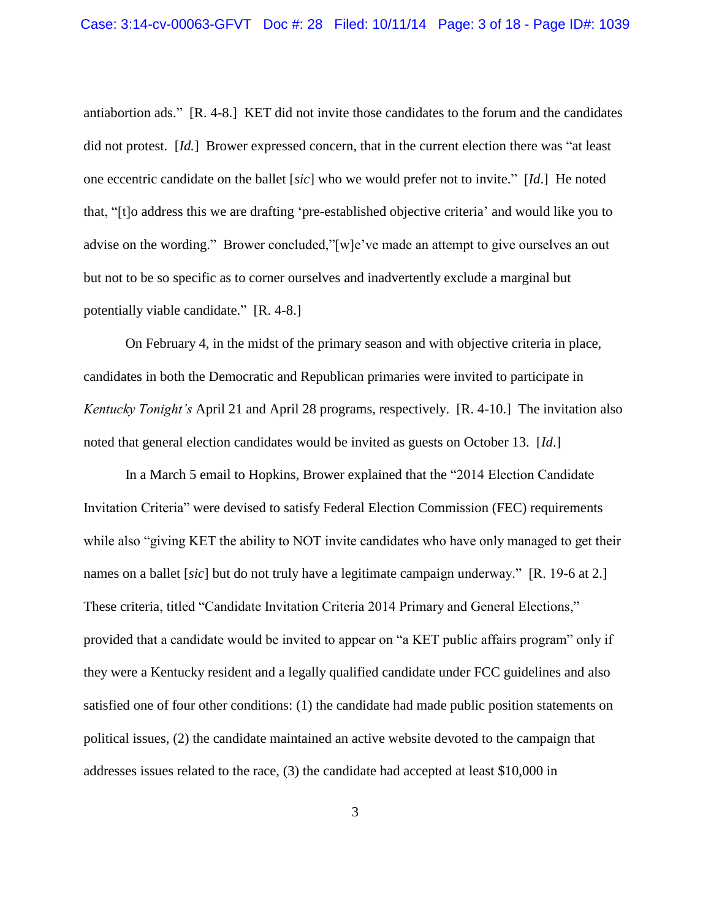antiabortion ads." [R. 4-8.] KET did not invite those candidates to the forum and the candidates did not protest. [*Id.*] Brower expressed concern, that in the current election there was "at least one eccentric candidate on the ballet [*sic*] who we would prefer not to invite." [*Id*.] He noted that, "[t]o address this we are drafting 'pre-established objective criteria' and would like you to advise on the wording." Brower concluded,"[w]e've made an attempt to give ourselves an out but not to be so specific as to corner ourselves and inadvertently exclude a marginal but potentially viable candidate." [R. 4-8.]

On February 4, in the midst of the primary season and with objective criteria in place, candidates in both the Democratic and Republican primaries were invited to participate in *Kentucky Tonight's* April 21 and April 28 programs, respectively. [R. 4-10.] The invitation also noted that general election candidates would be invited as guests on October 13. [*Id*.]

In a March 5 email to Hopkins, Brower explained that the "2014 Election Candidate Invitation Criteria" were devised to satisfy Federal Election Commission (FEC) requirements while also "giving KET the ability to NOT invite candidates who have only managed to get their names on a ballet [*sic*] but do not truly have a legitimate campaign underway." [R. 19-6 at 2.] These criteria, titled "Candidate Invitation Criteria 2014 Primary and General Elections," provided that a candidate would be invited to appear on "a KET public affairs program" only if they were a Kentucky resident and a legally qualified candidate under FCC guidelines and also satisfied one of four other conditions: (1) the candidate had made public position statements on political issues, (2) the candidate maintained an active website devoted to the campaign that addresses issues related to the race, (3) the candidate had accepted at least \$10,000 in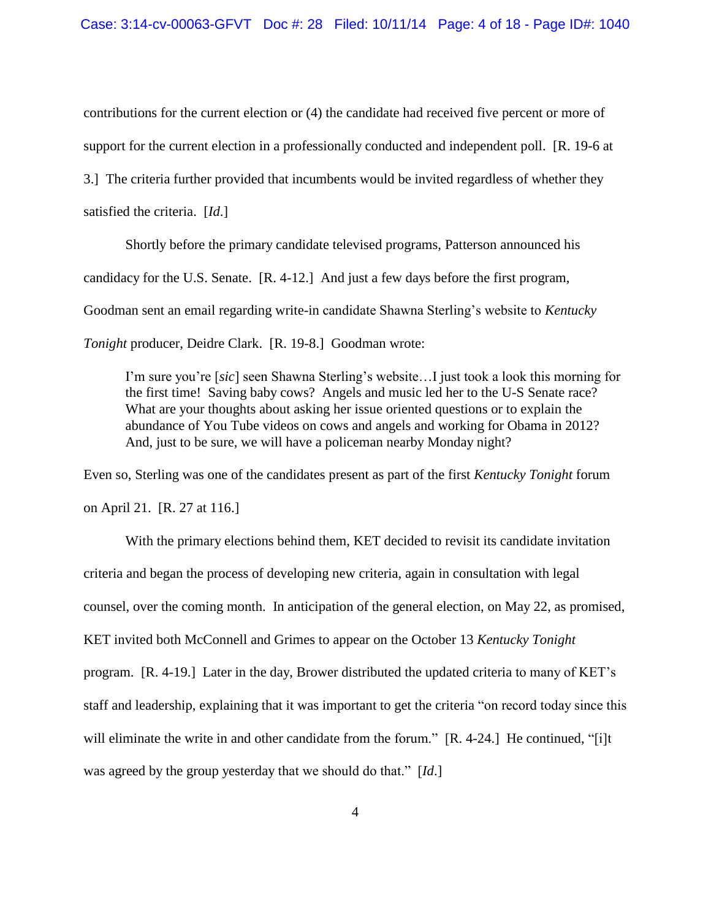contributions for the current election or (4) the candidate had received five percent or more of support for the current election in a professionally conducted and independent poll. [R. 19-6 at 3.] The criteria further provided that incumbents would be invited regardless of whether they satisfied the criteria. [*Id*.]

Shortly before the primary candidate televised programs, Patterson announced his candidacy for the U.S. Senate. [R. 4-12.] And just a few days before the first program, Goodman sent an email regarding write-in candidate Shawna Sterling's website to *Kentucky Tonight* producer, Deidre Clark. [R. 19-8.] Goodman wrote:

I'm sure you're [*sic*] seen Shawna Sterling's website…I just took a look this morning for the first time! Saving baby cows? Angels and music led her to the U-S Senate race? What are your thoughts about asking her issue oriented questions or to explain the abundance of You Tube videos on cows and angels and working for Obama in 2012? And, just to be sure, we will have a policeman nearby Monday night?

Even so, Sterling was one of the candidates present as part of the first *Kentucky Tonight* forum

on April 21. [R. 27 at 116.]

With the primary elections behind them, KET decided to revisit its candidate invitation criteria and began the process of developing new criteria, again in consultation with legal counsel, over the coming month. In anticipation of the general election, on May 22, as promised, KET invited both McConnell and Grimes to appear on the October 13 *Kentucky Tonight* program. [R. 4-19.] Later in the day, Brower distributed the updated criteria to many of KET's staff and leadership, explaining that it was important to get the criteria "on record today since this will eliminate the write in and other candidate from the forum." [R. 4-24.] He continued, "[i]t was agreed by the group yesterday that we should do that." [*Id*.]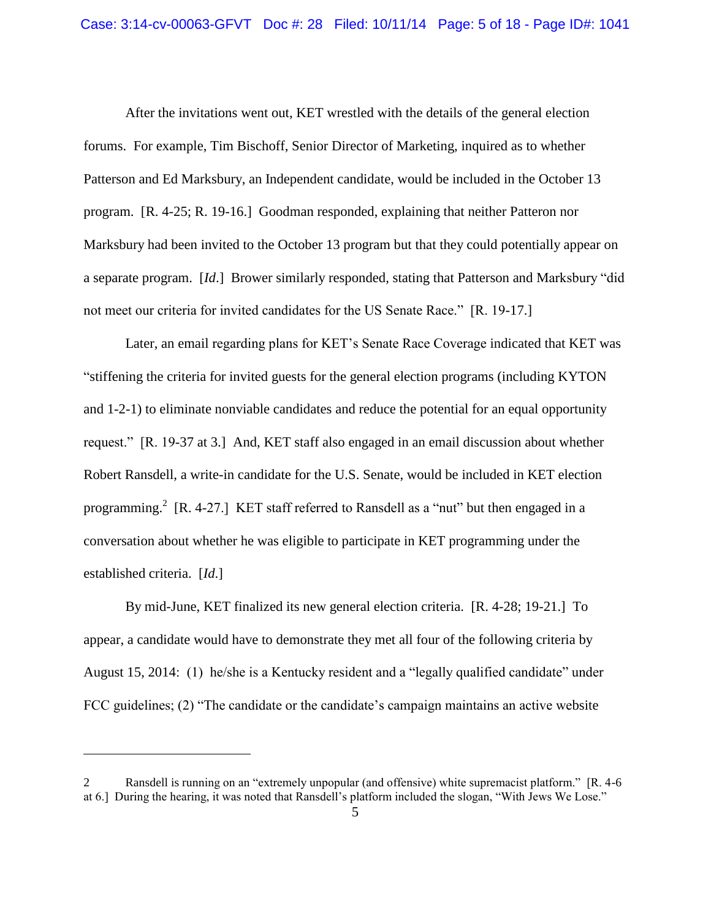After the invitations went out, KET wrestled with the details of the general election forums. For example, Tim Bischoff, Senior Director of Marketing, inquired as to whether Patterson and Ed Marksbury, an Independent candidate, would be included in the October 13 program. [R. 4-25; R. 19-16.] Goodman responded, explaining that neither Patteron nor Marksbury had been invited to the October 13 program but that they could potentially appear on a separate program. [*Id*.] Brower similarly responded, stating that Patterson and Marksbury "did not meet our criteria for invited candidates for the US Senate Race." [R. 19-17.]

Later, an email regarding plans for KET's Senate Race Coverage indicated that KET was "stiffening the criteria for invited guests for the general election programs (including KYTON and 1-2-1) to eliminate nonviable candidates and reduce the potential for an equal opportunity request." [R. 19-37 at 3.] And, KET staff also engaged in an email discussion about whether Robert Ransdell, a write-in candidate for the U.S. Senate, would be included in KET election programming.<sup>2</sup> [R. 4-27.] KET staff referred to Ransdell as a "nut" but then engaged in a conversation about whether he was eligible to participate in KET programming under the established criteria. [*Id*.]

By mid-June, KET finalized its new general election criteria. [R. 4-28; 19-21.] To appear, a candidate would have to demonstrate they met all four of the following criteria by August 15, 2014: (1) he/she is a Kentucky resident and a "legally qualified candidate" under FCC guidelines; (2) "The candidate or the candidate's campaign maintains an active website

<sup>2</sup> Ransdell is running on an "extremely unpopular (and offensive) white supremacist platform." [R. 4-6 at 6.] During the hearing, it was noted that Ransdell's platform included the slogan, "With Jews We Lose."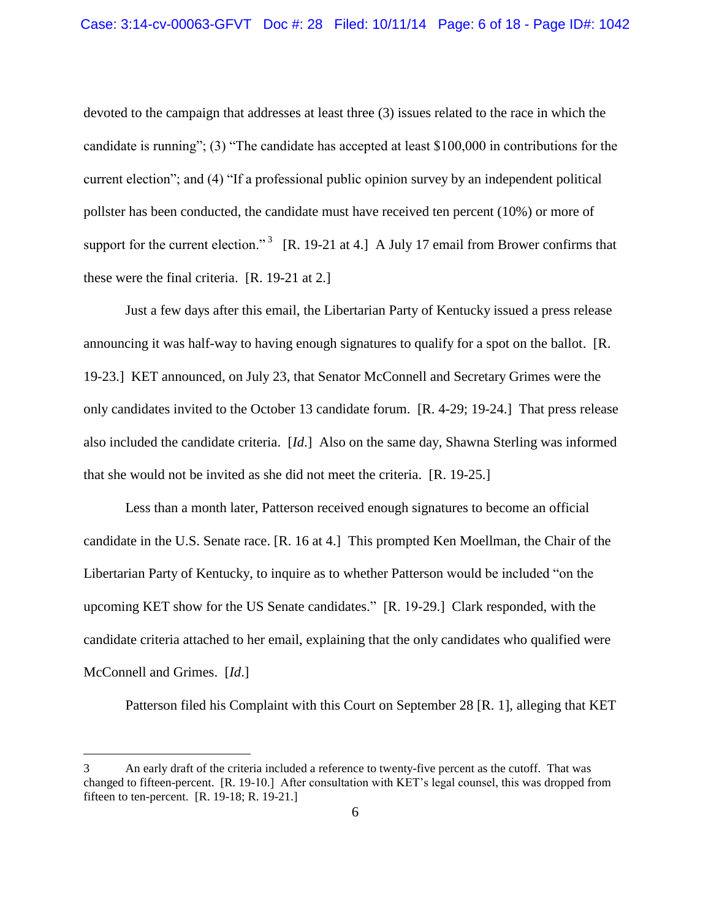devoted to the campaign that addresses at least three (3) issues related to the race in which the candidate is running"; (3) "The candidate has accepted at least \$100,000 in contributions for the current election"; and (4) "If a professional public opinion survey by an independent political pollster has been conducted, the candidate must have received ten percent (10%) or more of support for the current election."<sup>3</sup> [R. 19-21 at 4.] A July 17 email from Brower confirms that these were the final criteria. [R. 19-21 at 2.]

Just a few days after this email, the Libertarian Party of Kentucky issued a press release announcing it was half-way to having enough signatures to qualify for a spot on the ballot. [R. 19-23.] KET announced, on July 23, that Senator McConnell and Secretary Grimes were the only candidates invited to the October 13 candidate forum. [R. 4-29; 19-24.] That press release also included the candidate criteria. [*Id*.] Also on the same day, Shawna Sterling was informed that she would not be invited as she did not meet the criteria. [R. 19-25.]

Less than a month later, Patterson received enough signatures to become an official candidate in the U.S. Senate race. [R. 16 at 4.] This prompted Ken Moellman, the Chair of the Libertarian Party of Kentucky, to inquire as to whether Patterson would be included "on the upcoming KET show for the US Senate candidates." [R. 19-29.] Clark responded, with the candidate criteria attached to her email, explaining that the only candidates who qualified were McConnell and Grimes. [*Id*.]

Patterson filed his Complaint with this Court on September 28 [R. 1], alleging that KET

<sup>3</sup> An early draft of the criteria included a reference to twenty-five percent as the cutoff. That was changed to fifteen-percent. [R. 19-10.] After consultation with KET's legal counsel, this was dropped from fifteen to ten-percent. [R. 19-18; R. 19-21.]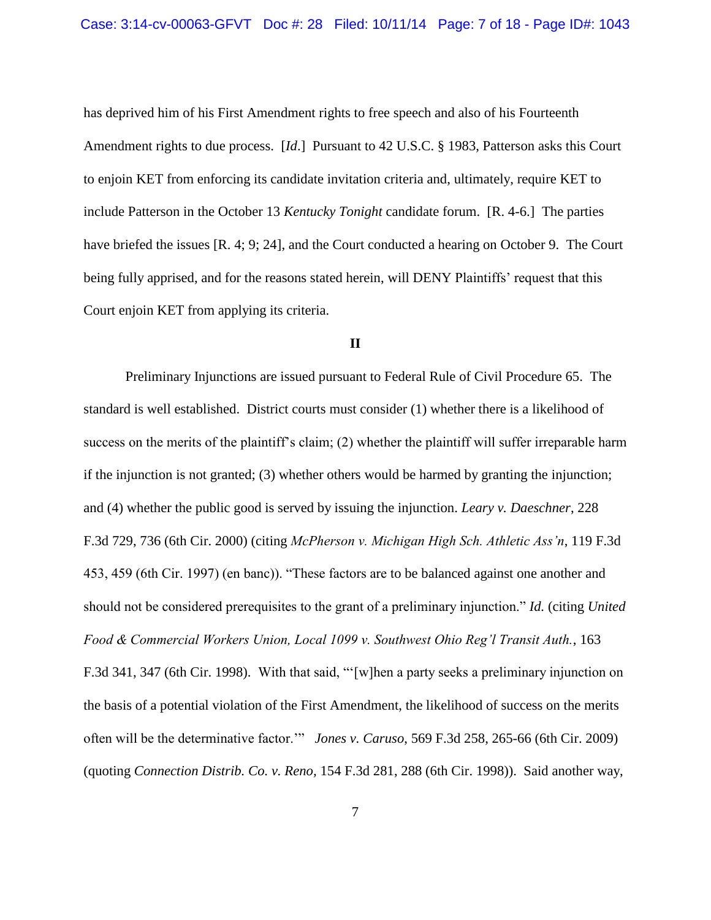has deprived him of his First Amendment rights to free speech and also of his Fourteenth Amendment rights to due process. [*Id*.] Pursuant to 42 U.S.C. § 1983, Patterson asks this Court to enjoin KET from enforcing its candidate invitation criteria and, ultimately, require KET to include Patterson in the October 13 *Kentucky Tonight* candidate forum. [R. 4-6.] The parties have briefed the issues [R. 4; 9; 24], and the Court conducted a hearing on October 9. The Court being fully apprised, and for the reasons stated herein, will DENY Plaintiffs' request that this Court enjoin KET from applying its criteria.

## **II**

Preliminary Injunctions are issued pursuant to Federal Rule of Civil Procedure 65. The standard is well established. District courts must consider (1) whether there is a likelihood of success on the merits of the plaintiff's claim; (2) whether the plaintiff will suffer irreparable harm if the injunction is not granted; (3) whether others would be harmed by granting the injunction; and (4) whether the public good is served by issuing the injunction. *Leary v. Daeschner*, 228 F.3d 729, 736 (6th Cir. 2000) (citing *McPherson v. Michigan High Sch. Athletic Ass'n*, 119 F.3d 453, 459 (6th Cir. 1997) (en banc)). "These factors are to be balanced against one another and should not be considered prerequisites to the grant of a preliminary injunction." *Id.* (citing *United Food & Commercial Workers Union, Local 1099 v. Southwest Ohio Reg'l Transit Auth.*, 163 F.3d 341, 347 (6th Cir. 1998). With that said, "'[w]hen a party seeks a preliminary injunction on the basis of a potential violation of the First Amendment, the likelihood of success on the merits often will be the determinative factor.'" *Jones v. Caruso*, 569 F.3d 258, 265-66 (6th Cir. 2009) (quoting *Connection Distrib. Co. v. Reno,* 154 F.3d 281, 288 (6th Cir. 1998)). Said another way,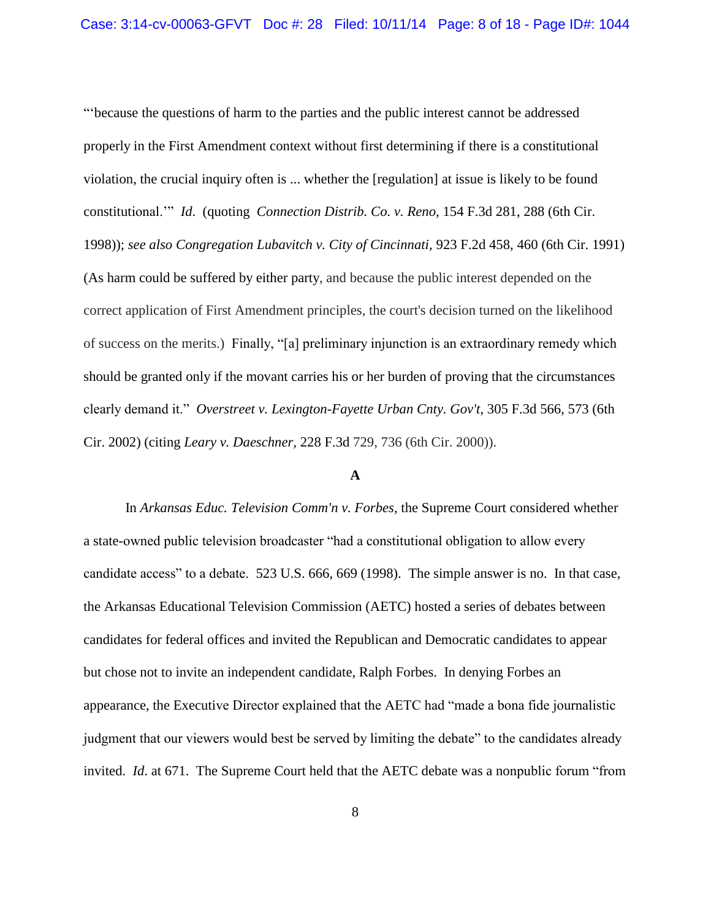"'because the questions of harm to the parties and the public interest cannot be addressed properly in the First Amendment context without first determining if there is a constitutional violation, the crucial inquiry often is ... whether the [regulation] at issue is likely to be found constitutional.'" *Id*. (quoting *Connection Distrib. Co. v. Reno,* 154 F.3d 281, 288 (6th Cir. 1998)); *see also Congregation Lubavitch v. City of Cincinnati,* 923 F.2d 458, 460 (6th Cir. 1991) (As harm could be suffered by either party, and because the public interest depended on the correct application of First Amendment principles, the court's decision turned on the likelihood of success on the merits.) Finally, "[a] preliminary injunction is an extraordinary remedy which should be granted only if the movant carries his or her burden of proving that the circumstances clearly demand it." *Overstreet v. Lexington-Fayette Urban Cnty. Gov't*, 305 F.3d 566, 573 (6th Cir. 2002) (citing *Leary v. Daeschner,* 228 F.3d 729, 736 (6th Cir. 2000)).

#### **A**

In *Arkansas Educ. Television Comm'n v. Forbes,* the Supreme Court considered whether a state-owned public television broadcaster "had a constitutional obligation to allow every candidate access" to a debate. 523 U.S. 666, 669 (1998). The simple answer is no. In that case, the Arkansas Educational Television Commission (AETC) hosted a series of debates between candidates for federal offices and invited the Republican and Democratic candidates to appear but chose not to invite an independent candidate, Ralph Forbes. In denying Forbes an appearance, the Executive Director explained that the AETC had "made a bona fide journalistic judgment that our viewers would best be served by limiting the debate" to the candidates already invited. *Id*. at 671. The Supreme Court held that the AETC debate was a nonpublic forum "from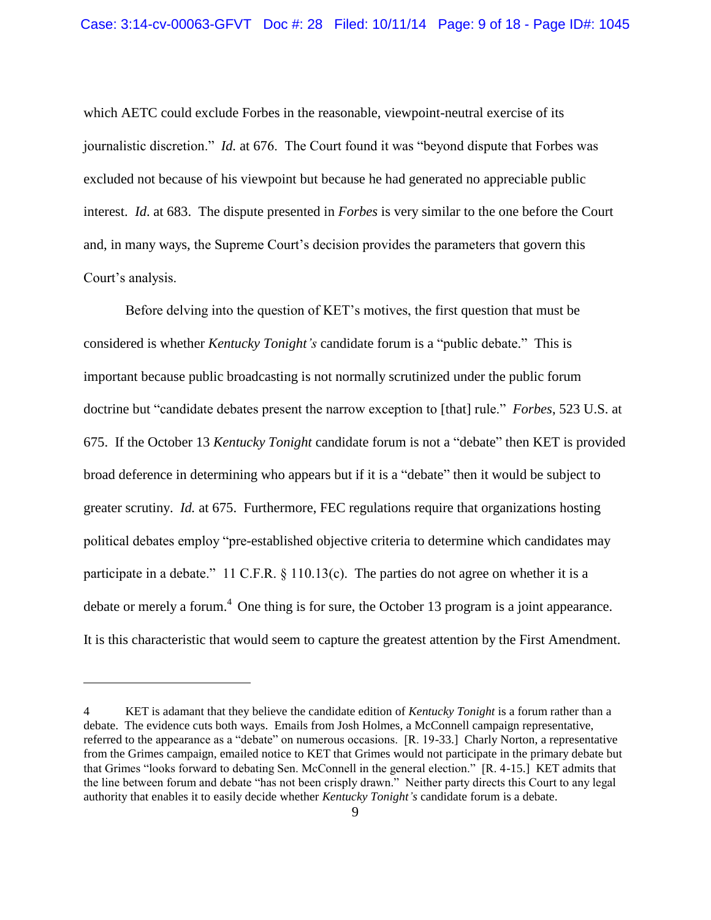which AETC could exclude Forbes in the reasonable, viewpoint-neutral exercise of its journalistic discretion." *Id.* at 676. The Court found it was "beyond dispute that Forbes was excluded not because of his viewpoint but because he had generated no appreciable public interest. *Id*. at 683. The dispute presented in *Forbes* is very similar to the one before the Court and, in many ways, the Supreme Court's decision provides the parameters that govern this Court's analysis.

Before delving into the question of KET's motives, the first question that must be considered is whether *Kentucky Tonight's* candidate forum is a "public debate." This is important because public broadcasting is not normally scrutinized under the public forum doctrine but "candidate debates present the narrow exception to [that] rule." *Forbes*, 523 U.S. at 675. If the October 13 *Kentucky Tonight* candidate forum is not a "debate" then KET is provided broad deference in determining who appears but if it is a "debate" then it would be subject to greater scrutiny. *Id.* at 675. Furthermore, FEC regulations require that organizations hosting political debates employ "pre-established objective criteria to determine which candidates may participate in a debate." 11 C.F.R. § 110.13(c). The parties do not agree on whether it is a debate or merely a forum.<sup>4</sup> One thing is for sure, the October 13 program is a joint appearance. It is this characteristic that would seem to capture the greatest attention by the First Amendment.

<sup>4</sup> KET is adamant that they believe the candidate edition of *Kentucky Tonight* is a forum rather than a debate. The evidence cuts both ways. Emails from Josh Holmes, a McConnell campaign representative, referred to the appearance as a "debate" on numerous occasions. [R. 19-33.] Charly Norton, a representative from the Grimes campaign, emailed notice to KET that Grimes would not participate in the primary debate but that Grimes "looks forward to debating Sen. McConnell in the general election." [R. 4-15.] KET admits that the line between forum and debate "has not been crisply drawn." Neither party directs this Court to any legal authority that enables it to easily decide whether *Kentucky Tonight's* candidate forum is a debate.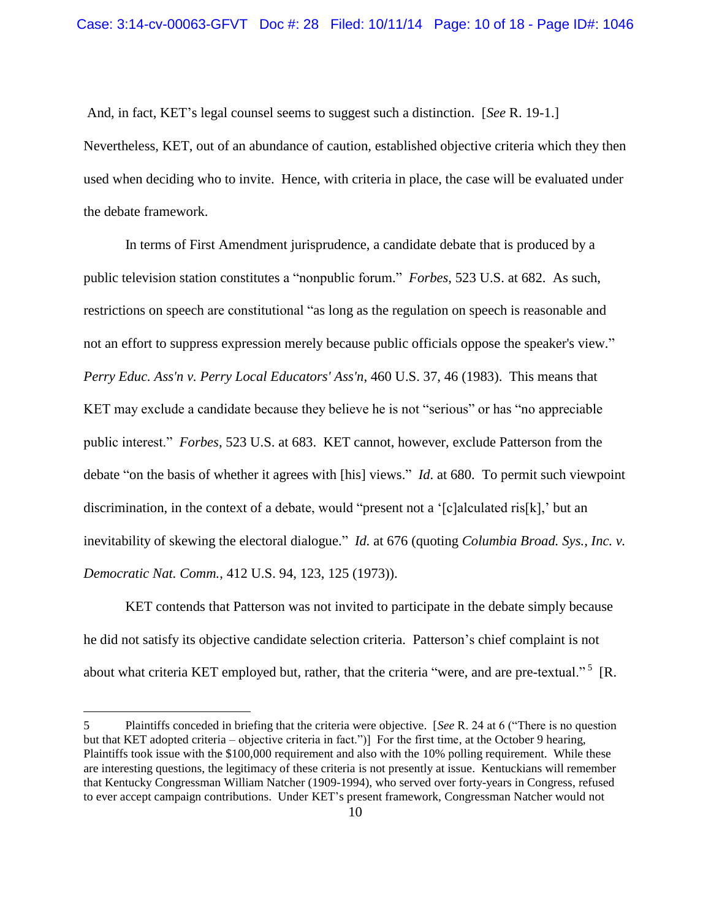And, in fact, KET's legal counsel seems to suggest such a distinction. [*See* R. 19-1.] Nevertheless, KET, out of an abundance of caution, established objective criteria which they then used when deciding who to invite. Hence, with criteria in place, the case will be evaluated under the debate framework.

In terms of First Amendment jurisprudence, a candidate debate that is produced by a public television station constitutes a "nonpublic forum." *Forbes*, 523 U.S. at 682. As such, restrictions on speech are constitutional "as long as the regulation on speech is reasonable and not an effort to suppress expression merely because public officials oppose the speaker's view." *Perry Educ. Ass'n v. Perry Local Educators' Ass'n*, 460 U.S. 37, 46 (1983). This means that KET may exclude a candidate because they believe he is not "serious" or has "no appreciable public interest." *Forbes*, 523 U.S. at 683. KET cannot, however, exclude Patterson from the debate "on the basis of whether it agrees with [his] views." *Id*. at 680. To permit such viewpoint discrimination, in the context of a debate, would "present not a '[c]alculated ris[k],' but an inevitability of skewing the electoral dialogue." *Id.* at 676 (quoting *Columbia Broad. Sys., Inc. v. Democratic Nat. Comm.*, 412 U.S. 94, 123, 125 (1973)).

KET contends that Patterson was not invited to participate in the debate simply because he did not satisfy its objective candidate selection criteria. Patterson's chief complaint is not about what criteria KET employed but, rather, that the criteria "were, and are pre-textual."<sup>5</sup> [R.

<sup>5</sup> Plaintiffs conceded in briefing that the criteria were objective. [*See* R. 24 at 6 ("There is no question but that KET adopted criteria – objective criteria in fact.")] For the first time, at the October 9 hearing, Plaintiffs took issue with the \$100,000 requirement and also with the 10% polling requirement. While these are interesting questions, the legitimacy of these criteria is not presently at issue. Kentuckians will remember that Kentucky Congressman William Natcher (1909-1994), who served over forty-years in Congress, refused to ever accept campaign contributions. Under KET's present framework, Congressman Natcher would not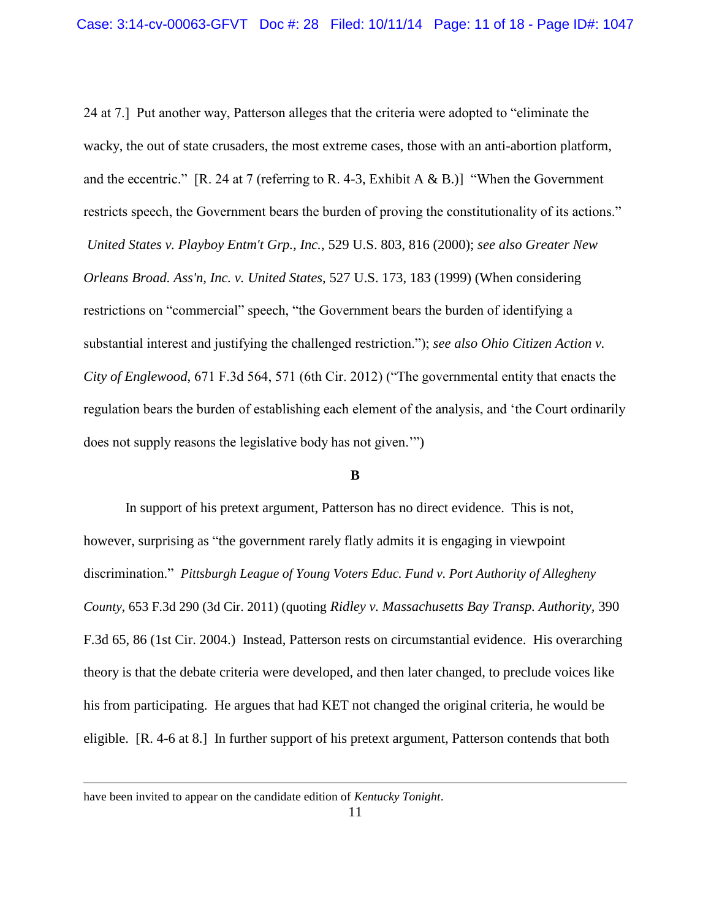24 at 7.] Put another way, Patterson alleges that the criteria were adopted to "eliminate the wacky, the out of state crusaders, the most extreme cases, those with an anti-abortion platform, and the eccentric." [R. 24 at 7 (referring to R. 4-3, Exhibit A & B.)] "When the Government restricts speech, the Government bears the burden of proving the constitutionality of its actions." *United States v. Playboy Entm't Grp., Inc.*, 529 U.S. 803, 816 (2000); *see also Greater New Orleans Broad. Ass'n, Inc. v. United States*, 527 U.S. 173, 183 (1999) (When considering restrictions on "commercial" speech, "the Government bears the burden of identifying a substantial interest and justifying the challenged restriction."); *see also Ohio Citizen Action v. City of Englewood*, 671 F.3d 564, 571 (6th Cir. 2012) ("The governmental entity that enacts the regulation bears the burden of establishing each element of the analysis, and 'the Court ordinarily does not supply reasons the legislative body has not given.'")

## **B**

In support of his pretext argument, Patterson has no direct evidence. This is not, however, surprising as "the government rarely flatly admits it is engaging in viewpoint discrimination." *Pittsburgh League of Young Voters Educ. Fund v. Port Authority of Allegheny County*, 653 F.3d 290 (3d Cir. 2011) (quoting *Ridley v. Massachusetts Bay Transp. Authority,* 390 F.3d 65, 86 (1st Cir. 2004.) Instead, Patterson rests on circumstantial evidence. His overarching theory is that the debate criteria were developed, and then later changed, to preclude voices like his from participating. He argues that had KET not changed the original criteria, he would be eligible. [R. 4-6 at 8.] In further support of his pretext argument, Patterson contends that both

have been invited to appear on the candidate edition of *Kentucky Tonight*.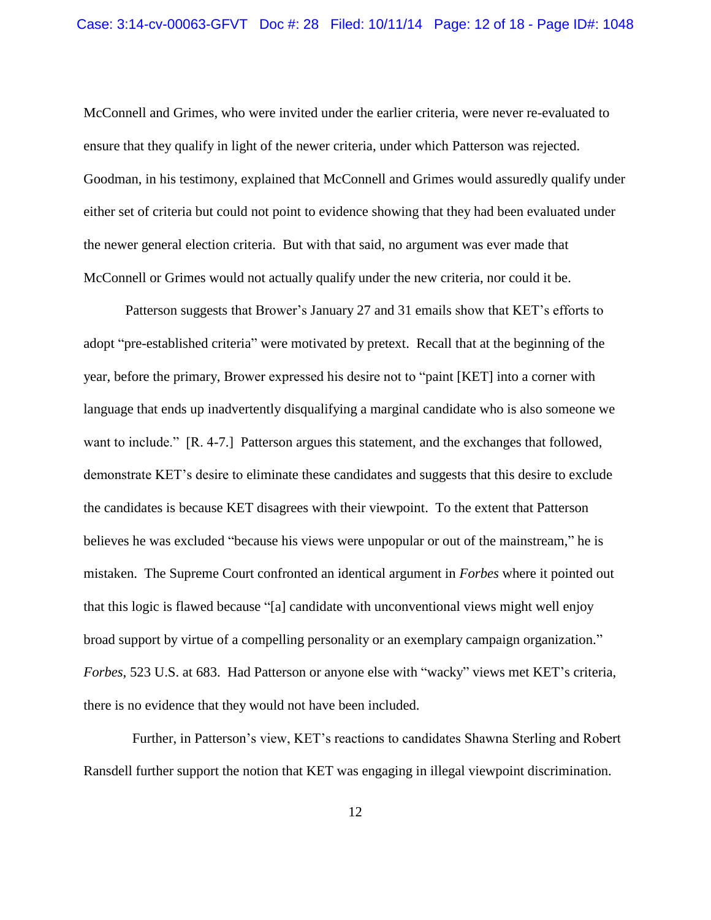McConnell and Grimes, who were invited under the earlier criteria, were never re-evaluated to ensure that they qualify in light of the newer criteria, under which Patterson was rejected. Goodman, in his testimony, explained that McConnell and Grimes would assuredly qualify under either set of criteria but could not point to evidence showing that they had been evaluated under the newer general election criteria. But with that said, no argument was ever made that McConnell or Grimes would not actually qualify under the new criteria, nor could it be.

Patterson suggests that Brower's January 27 and 31 emails show that KET's efforts to adopt "pre-established criteria" were motivated by pretext. Recall that at the beginning of the year, before the primary, Brower expressed his desire not to "paint [KET] into a corner with language that ends up inadvertently disqualifying a marginal candidate who is also someone we want to include." [R. 4-7.] Patterson argues this statement, and the exchanges that followed, demonstrate KET's desire to eliminate these candidates and suggests that this desire to exclude the candidates is because KET disagrees with their viewpoint. To the extent that Patterson believes he was excluded "because his views were unpopular or out of the mainstream," he is mistaken. The Supreme Court confronted an identical argument in *Forbes* where it pointed out that this logic is flawed because "[a] candidate with unconventional views might well enjoy broad support by virtue of a compelling personality or an exemplary campaign organization." *Forbes*, 523 U.S. at 683. Had Patterson or anyone else with "wacky" views met KET's criteria, there is no evidence that they would not have been included.

 Further, in Patterson's view, KET's reactions to candidates Shawna Sterling and Robert Ransdell further support the notion that KET was engaging in illegal viewpoint discrimination.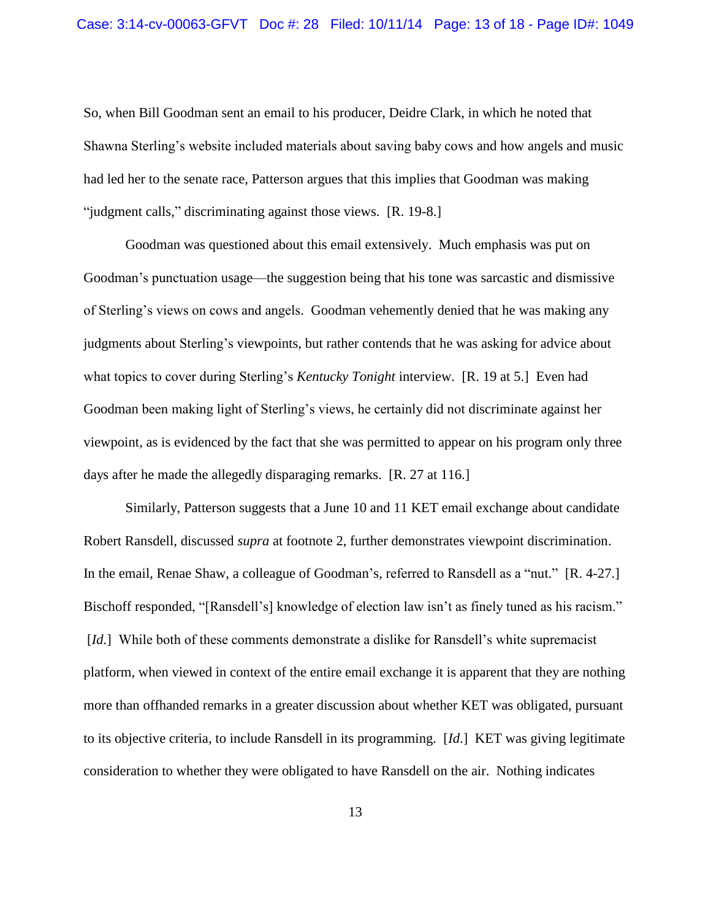So, when Bill Goodman sent an email to his producer, Deidre Clark, in which he noted that Shawna Sterling's website included materials about saving baby cows and how angels and music had led her to the senate race, Patterson argues that this implies that Goodman was making "judgment calls," discriminating against those views. [R. 19-8.]

Goodman was questioned about this email extensively. Much emphasis was put on Goodman's punctuation usage—the suggestion being that his tone was sarcastic and dismissive of Sterling's views on cows and angels. Goodman vehemently denied that he was making any judgments about Sterling's viewpoints, but rather contends that he was asking for advice about what topics to cover during Sterling's *Kentucky Tonight* interview. [R. 19 at 5.] Even had Goodman been making light of Sterling's views, he certainly did not discriminate against her viewpoint, as is evidenced by the fact that she was permitted to appear on his program only three days after he made the allegedly disparaging remarks. [R. 27 at 116.]

Similarly, Patterson suggests that a June 10 and 11 KET email exchange about candidate Robert Ransdell, discussed *supra* at footnote 2, further demonstrates viewpoint discrimination. In the email, Renae Shaw, a colleague of Goodman's, referred to Ransdell as a "nut." [R. 4-27.] Bischoff responded, "[Ransdell's] knowledge of election law isn't as finely tuned as his racism." [*Id.*] While both of these comments demonstrate a dislike for Ransdell's white supremacist platform, when viewed in context of the entire email exchange it is apparent that they are nothing more than offhanded remarks in a greater discussion about whether KET was obligated, pursuant to its objective criteria, to include Ransdell in its programming. [*Id*.] KET was giving legitimate consideration to whether they were obligated to have Ransdell on the air. Nothing indicates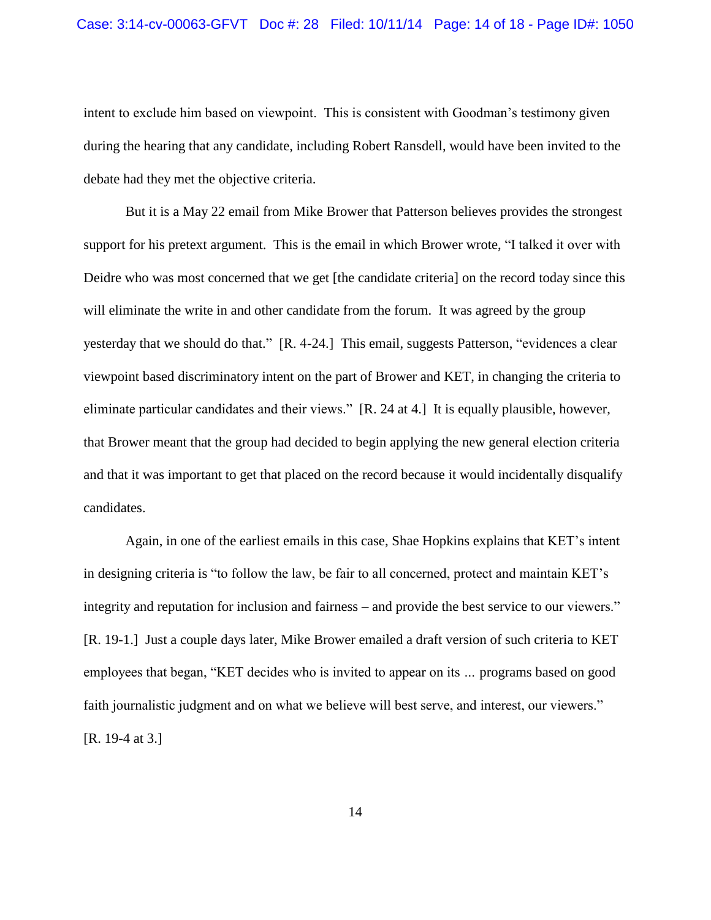### Case: 3:14-cv-00063-GFVT Doc #: 28 Filed: 10/11/14 Page: 14 of 18 - Page ID#: 1050

intent to exclude him based on viewpoint. This is consistent with Goodman's testimony given during the hearing that any candidate, including Robert Ransdell, would have been invited to the debate had they met the objective criteria.

But it is a May 22 email from Mike Brower that Patterson believes provides the strongest support for his pretext argument. This is the email in which Brower wrote, "I talked it over with Deidre who was most concerned that we get [the candidate criteria] on the record today since this will eliminate the write in and other candidate from the forum. It was agreed by the group yesterday that we should do that." [R. 4-24.] This email, suggests Patterson, "evidences a clear viewpoint based discriminatory intent on the part of Brower and KET, in changing the criteria to eliminate particular candidates and their views." [R. 24 at 4.] It is equally plausible, however, that Brower meant that the group had decided to begin applying the new general election criteria and that it was important to get that placed on the record because it would incidentally disqualify candidates.

Again, in one of the earliest emails in this case, Shae Hopkins explains that KET's intent in designing criteria is "to follow the law, be fair to all concerned, protect and maintain KET's integrity and reputation for inclusion and fairness – and provide the best service to our viewers." [R. 19-1.] Just a couple days later, Mike Brower emailed a draft version of such criteria to KET employees that began, "KET decides who is invited to appear on its *…* programs based on good faith journalistic judgment and on what we believe will best serve, and interest, our viewers." [R. 19-4 at 3.]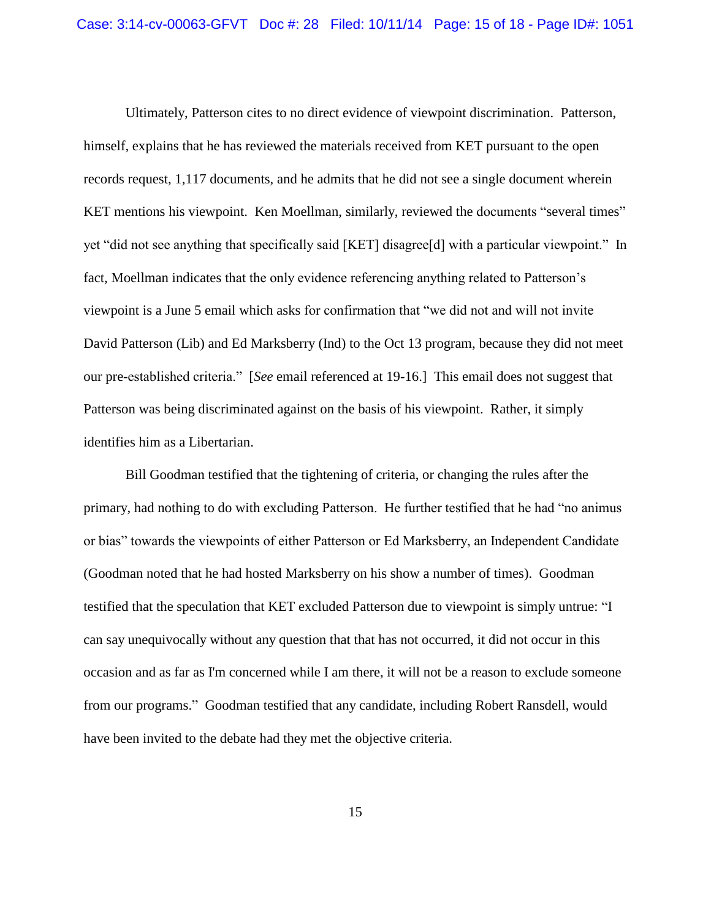Ultimately, Patterson cites to no direct evidence of viewpoint discrimination. Patterson, himself, explains that he has reviewed the materials received from KET pursuant to the open records request, 1,117 documents, and he admits that he did not see a single document wherein KET mentions his viewpoint. Ken Moellman, similarly, reviewed the documents "several times" yet "did not see anything that specifically said [KET] disagree[d] with a particular viewpoint." In fact, Moellman indicates that the only evidence referencing anything related to Patterson's viewpoint is a June 5 email which asks for confirmation that "we did not and will not invite David Patterson (Lib) and Ed Marksberry (Ind) to the Oct 13 program, because they did not meet our pre-established criteria." [*See* email referenced at 19-16.] This email does not suggest that Patterson was being discriminated against on the basis of his viewpoint. Rather, it simply identifies him as a Libertarian.

Bill Goodman testified that the tightening of criteria, or changing the rules after the primary, had nothing to do with excluding Patterson. He further testified that he had "no animus or bias" towards the viewpoints of either Patterson or Ed Marksberry, an Independent Candidate (Goodman noted that he had hosted Marksberry on his show a number of times). Goodman testified that the speculation that KET excluded Patterson due to viewpoint is simply untrue: "I can say unequivocally without any question that that has not occurred, it did not occur in this occasion and as far as I'm concerned while I am there, it will not be a reason to exclude someone from our programs." Goodman testified that any candidate, including Robert Ransdell, would have been invited to the debate had they met the objective criteria.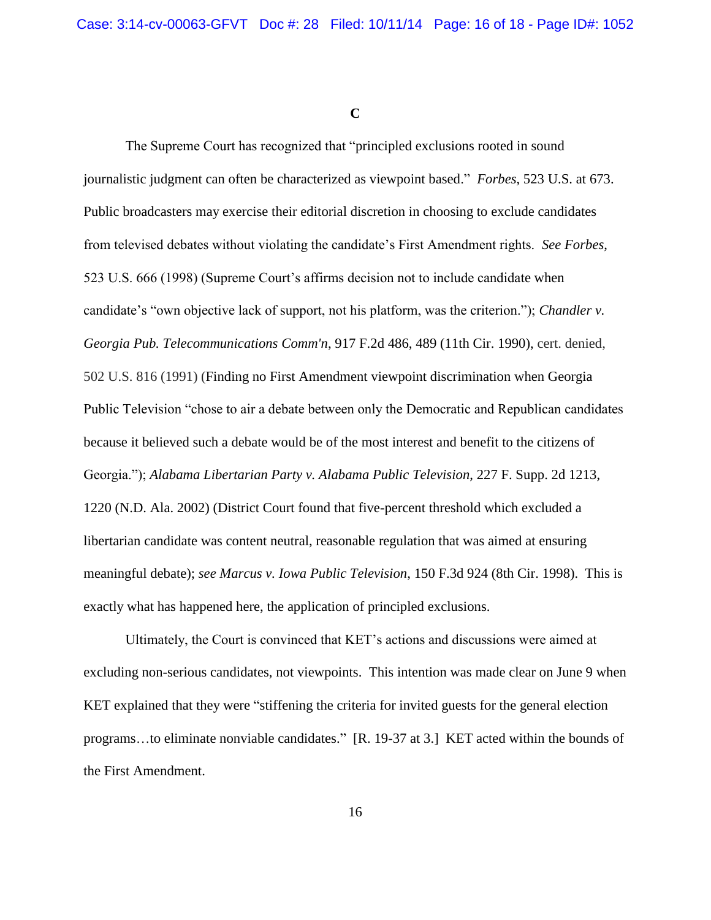**C**

The Supreme Court has recognized that "principled exclusions rooted in sound journalistic judgment can often be characterized as viewpoint based." *Forbes*, 523 U.S. at 673. Public broadcasters may exercise their editorial discretion in choosing to exclude candidates from televised debates without violating the candidate's First Amendment rights. *See Forbes*, 523 U.S. 666 (1998) (Supreme Court's affirms decision not to include candidate when candidate's "own objective lack of support, not his platform, was the criterion."); *Chandler v. Georgia Pub. Telecommunications Comm'n*, 917 F.2d 486, 489 (11th Cir. 1990), cert. denied, 502 U.S. 816 (1991) (Finding no First Amendment viewpoint discrimination when Georgia Public Television "chose to air a debate between only the Democratic and Republican candidates because it believed such a debate would be of the most interest and benefit to the citizens of Georgia."); *Alabama Libertarian Party v. Alabama Public Television*, 227 F. Supp. 2d 1213, 1220 (N.D. Ala. 2002) (District Court found that five-percent threshold which excluded a libertarian candidate was content neutral, reasonable regulation that was aimed at ensuring meaningful debate); *see Marcus v. Iowa Public Television*, 150 F.3d 924 (8th Cir. 1998). This is exactly what has happened here, the application of principled exclusions.

Ultimately, the Court is convinced that KET's actions and discussions were aimed at excluding non-serious candidates, not viewpoints. This intention was made clear on June 9 when KET explained that they were "stiffening the criteria for invited guests for the general election programs…to eliminate nonviable candidates." [R. 19-37 at 3.] KET acted within the bounds of the First Amendment.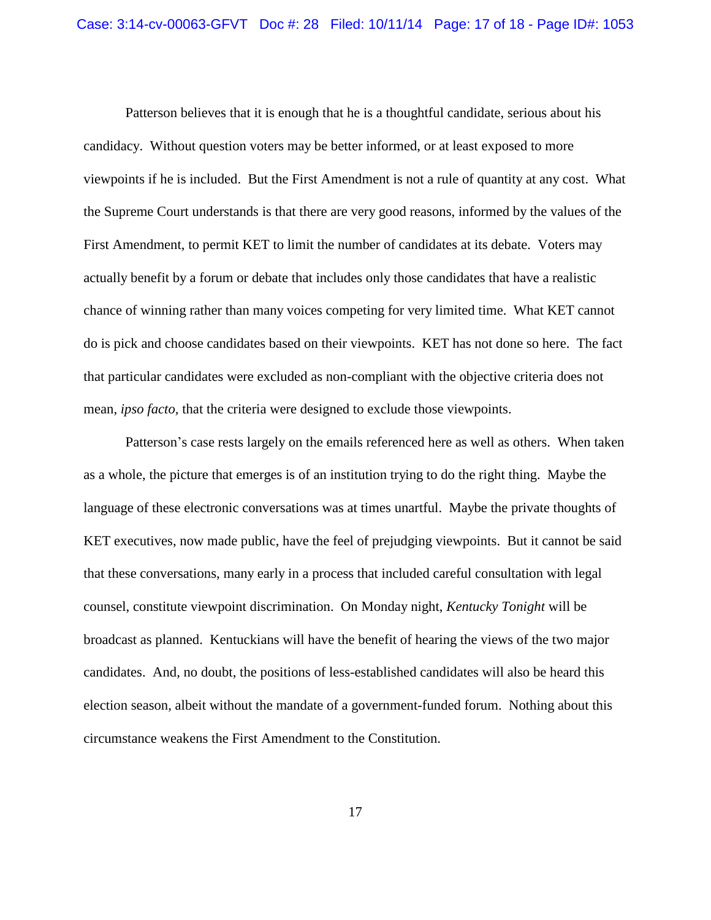Patterson believes that it is enough that he is a thoughtful candidate, serious about his candidacy. Without question voters may be better informed, or at least exposed to more viewpoints if he is included. But the First Amendment is not a rule of quantity at any cost. What the Supreme Court understands is that there are very good reasons, informed by the values of the First Amendment, to permit KET to limit the number of candidates at its debate. Voters may actually benefit by a forum or debate that includes only those candidates that have a realistic chance of winning rather than many voices competing for very limited time. What KET cannot do is pick and choose candidates based on their viewpoints. KET has not done so here. The fact that particular candidates were excluded as non-compliant with the objective criteria does not mean, *ipso facto,* that the criteria were designed to exclude those viewpoints.

Patterson's case rests largely on the emails referenced here as well as others. When taken as a whole, the picture that emerges is of an institution trying to do the right thing. Maybe the language of these electronic conversations was at times unartful. Maybe the private thoughts of KET executives, now made public, have the feel of prejudging viewpoints. But it cannot be said that these conversations, many early in a process that included careful consultation with legal counsel, constitute viewpoint discrimination. On Monday night, *Kentucky Tonight* will be broadcast as planned. Kentuckians will have the benefit of hearing the views of the two major candidates. And, no doubt, the positions of less-established candidates will also be heard this election season, albeit without the mandate of a government-funded forum. Nothing about this circumstance weakens the First Amendment to the Constitution.